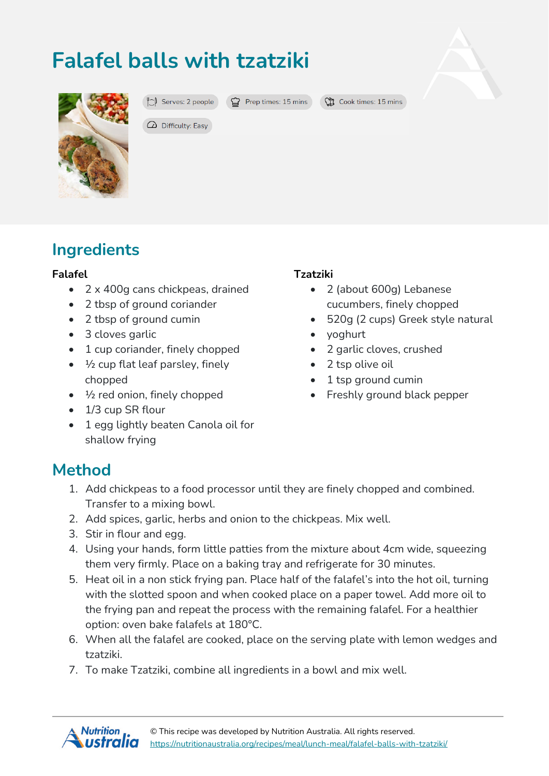## **Falafel balls with tzatziki**



 $\mathbb{C}$  Serves: 2 people  $\mathbb{C}$  Prep times: 15 mins

**CO** Cook times: 15 mins

 $\Omega$  Difficulty: Easy

# **Ingredients**

#### **Falafel**

- 2 x 400g cans chickpeas, drained
- 2 tbsp of ground coriander
- 2 tbsp of ground cumin
- 3 cloves garlic
- 1 cup coriander, finely chopped
- $\bullet$   $\frac{1}{2}$  cup flat leaf parsley, finely chopped
- $\bullet$   $\frac{1}{2}$  red onion, finely chopped
- 1/3 cup SR flour
- 1 egg lightly beaten Canola oil for shallow frying

#### **Tzatziki**

- 2 (about 600g) Lebanese cucumbers, finely chopped
- 520g (2 cups) Greek style natural
- yoghurt
- 2 garlic cloves, crushed
- 2 tsp olive oil
- 1 tsp ground cumin
- Freshly ground black pepper

### **Method**

- 1. Add chickpeas to a food processor until they are finely chopped and combined. Transfer to a mixing bowl.
- 2. Add spices, garlic, herbs and onion to the chickpeas. Mix well.
- 3. Stir in flour and egg.
- 4. Using your hands, form little patties from the mixture about 4cm wide, squeezing them very firmly. Place on a baking tray and refrigerate for 30 minutes.
- 5. Heat oil in a non stick frying pan. Place half of the falafel's into the hot oil, turning with the slotted spoon and when cooked place on a paper towel. Add more oil to the frying pan and repeat the process with the remaining falafel. For a healthier option: oven bake falafels at 180°C.
- 6. When all the falafel are cooked, place on the serving plate with lemon wedges and tzatziki.
- 7. To make Tzatziki, combine all ingredients in a bowl and mix well.